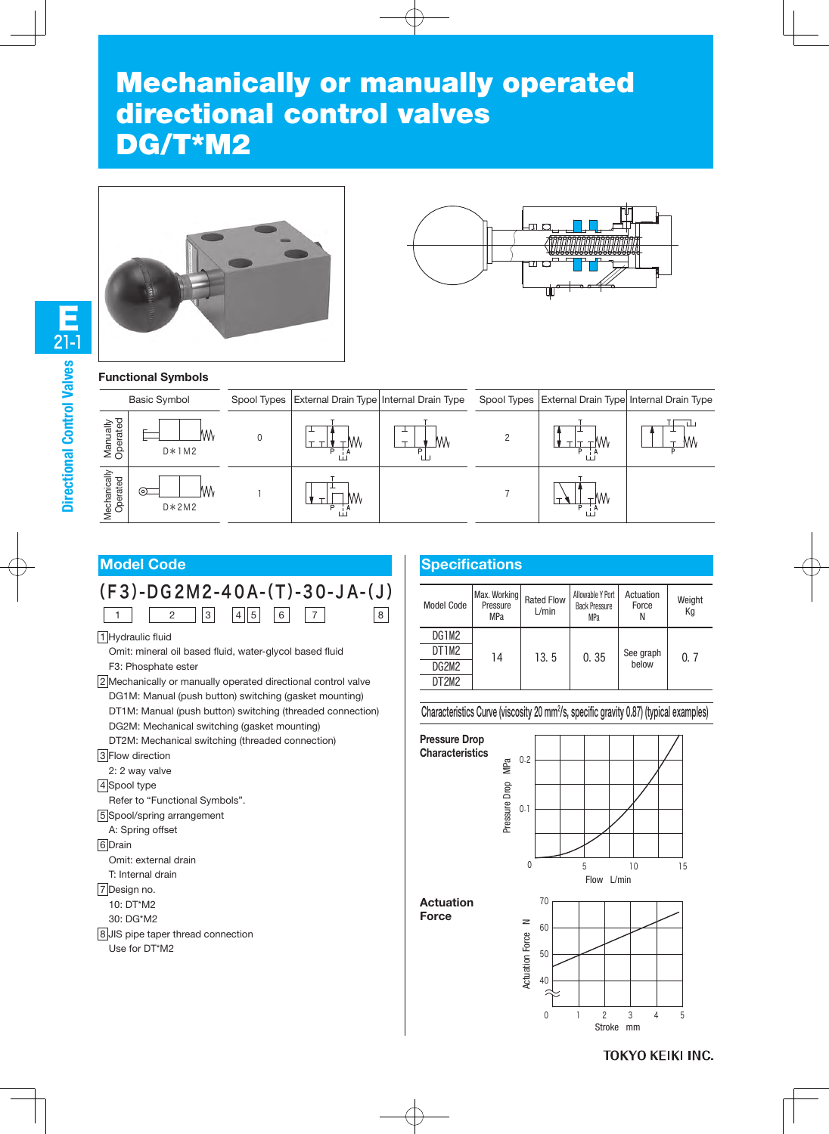# Mechanically or manually operated directional control valves DG/T\*M2





#### **Functional Symbols**

| <b>Basic Symbol</b>      |                     |          | Spool Types   External Drain Type   Internal Drain Type |  | Spool Types   External Drain Type  Internal Drain Type |
|--------------------------|---------------------|----------|---------------------------------------------------------|--|--------------------------------------------------------|
| Manually<br>Operated     | VVV<br>$D*1M2$      | M٨<br>Þ  | M۸                                                      |  | MΛ                                                     |
| Mechanically<br>Operated | ⊙Σ<br>W۱<br>$D*2M2$ | N/V<br>D |                                                         |  |                                                        |



3 Flow direction

2: 2 way valve

4 Spool type

Refer to "Functional Symbols".

5 Spool/spring arrangement

A: Spring offset

6 Drain

Omit: external drain

T: Internal drain

7 Design no.

10: DT\*M2

30: DG\*M2

8 JIS pipe taper thread connection

Use for DT\*M2

# **Specifications**

| Model Code                     | Max. Working<br>Pressure<br><b>MPa</b> | <b>Rated Flow</b><br>L/min | Allowable Y Port<br><b>Back Pressure</b><br><b>MPa</b> | Actuation<br>Force<br>Ν | Weight<br>Кq |
|--------------------------------|----------------------------------------|----------------------------|--------------------------------------------------------|-------------------------|--------------|
| DG1M2                          | 14                                     | 13.5                       | 0.35                                                   | See graph<br>below      | 0.7          |
| DT1M2                          |                                        |                            |                                                        |                         |              |
| DG2M2                          |                                        |                            |                                                        |                         |              |
| DT <sub>2</sub> M <sub>2</sub> |                                        |                            |                                                        |                         |              |

Characteristics Curve (viscosity 20 mm2/s, specific gravity 0.87) (typical examples)

**Pressure Drop Characteristics**



**Actuation Force**



**TOKYO KEIKI INC.** 

E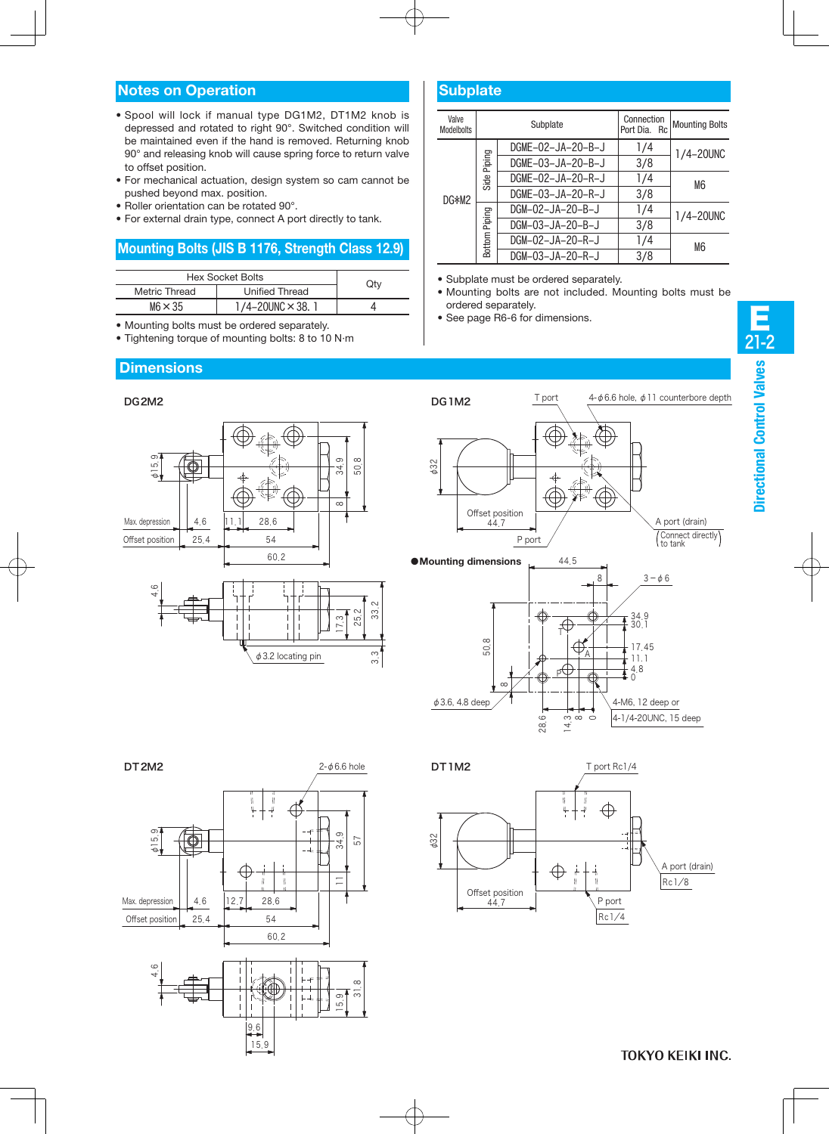### **Notes on Operation**

- Spool will lock if manual type DG1M2, DT1M2 knob is depressed and rotated to right 90°. Switched condition will be maintained even if the hand is removed. Returning knob 90° and releasing knob will cause spring force to return valve to offset position.
- For mechanical actuation, design system so cam cannot be pushed beyond max. position.
- Roller orientation can be rotated 90°.
- For external drain type, connect A port directly to tank.

#### **Mounting Bolts (JIS B 1176, Strength Class 12.9)**

| <b>Hex Socket Bolts</b> |                              |     |  |
|-------------------------|------------------------------|-----|--|
| Metric Thread           | <b>Unified Thread</b>        | Qty |  |
| $M6 \times 35$          | $1/4 - 20$ UNC $\times$ 38.1 |     |  |

- Mounting bolts must be ordered separately.
- Tightening torque of mounting bolts: 8 to 10 N·m

## **Dimensions**



| Valve<br><b>Modelbolts</b> | Subplate         |                   | Connection<br>Port Dia. Rc | <b>Mounting Bolts</b> |
|----------------------------|------------------|-------------------|----------------------------|-----------------------|
|                            | Piping           | DGME-02-JA-20-B-J | 1/4                        | 1/4-20UNC             |
|                            |                  | DGME-03-JA-20-B-J | 3/8                        |                       |
|                            | Side             | DGME-02-JA-20-R-J | 1/4                        | M6                    |
| DG*M2                      |                  | DGME-03-JA-20-R-J | 3/8                        |                       |
|                            |                  | DGM-02-JA-20-B-J  | 1/4                        | 1/4-20UNC             |
|                            | Piping<br>Bottom | DGM-03-JA-20-B-J  | 3/8                        |                       |
|                            |                  | DGM-02-JA-20-R-J  | 1/4                        | M <sub>6</sub>        |
|                            |                  | DGM-03-JA-20-R-J  | 3/8                        |                       |

- Subplate must be ordered separately.
- Mounting bolts are not included. Mounting bolts must be ordered separately.
- See page R6-6 for dimensions.



 $\alpha$ 









**TOKYO KEIKI INC.**